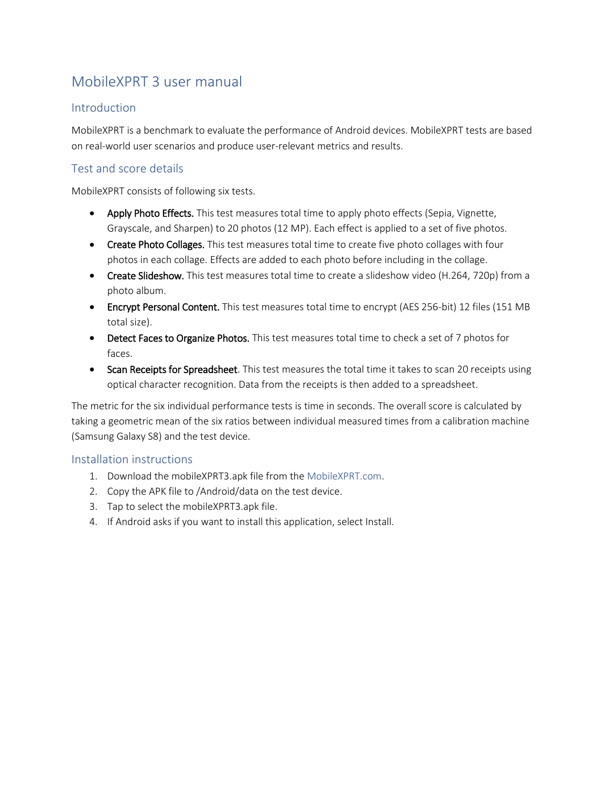# MobileXPRT 3 user manual

## **Introduction**

MobileXPRT is a benchmark to evaluate the performance of Android devices. MobileXPRT tests are based on real-world user scenarios and produce user-relevant metrics and results.

## Test and score details

MobileXPRT consists of following six tests.

- Apply Photo Effects. This test measures total time to apply photo effects (Sepia, Vignette, Grayscale, and Sharpen) to 20 photos (12 MP). Each effect is applied to a set of five photos.
- Create Photo Collages. This test measures total time to create five photo collages with four photos in each collage. Effects are added to each photo before including in the collage.
- Create Slideshow. This test measures total time to create a slideshow video (H.264, 720p) from a photo album.
- Encrypt Personal Content. This test measures total time to encrypt (AES 256-bit) 12 files (151 MB total size).
- Detect Faces to Organize Photos. This test measures total time to check a set of 7 photos for faces.
- Scan Receipts for Spreadsheet. This test measures the total time it takes to scan 20 receipts using optical character recognition. Data from the receipts is then added to a spreadsheet.

The metric for the six individual performance tests is time in seconds. The overall score is calculated by taking a geometric mean of the six ratios between individual measured times from a calibration machine (Samsung Galaxy S8) and the test device.

#### Installation instructions

- 1. Download the mobileXPRT3.apk file from the [MobileXPRT.com.](https://www.principledtechnologies.com/benchmarkxprt/mobilexprt/)
- 2. Copy the APK file to /Android/data on the test device.
- 3. Tap to select the mobileXPRT3.apk file.
- 4. If Android asks if you want to install this application, select Install.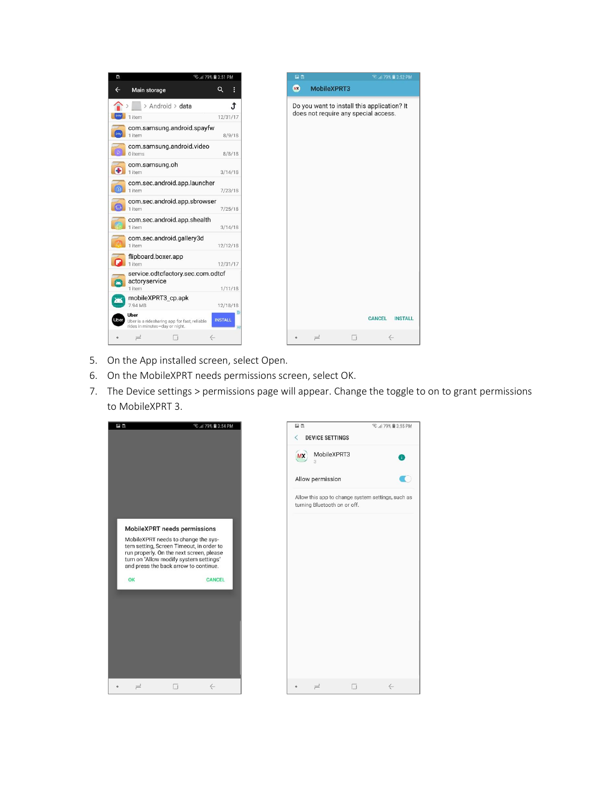

- 5. On the App installed screen, select Open.
- 6. On the MobileXPRT needs permissions screen, select OK.
- 7. The Device settings > permissions page will appear. Change the toggle to on to grant permissions to MobileXPRT 3.



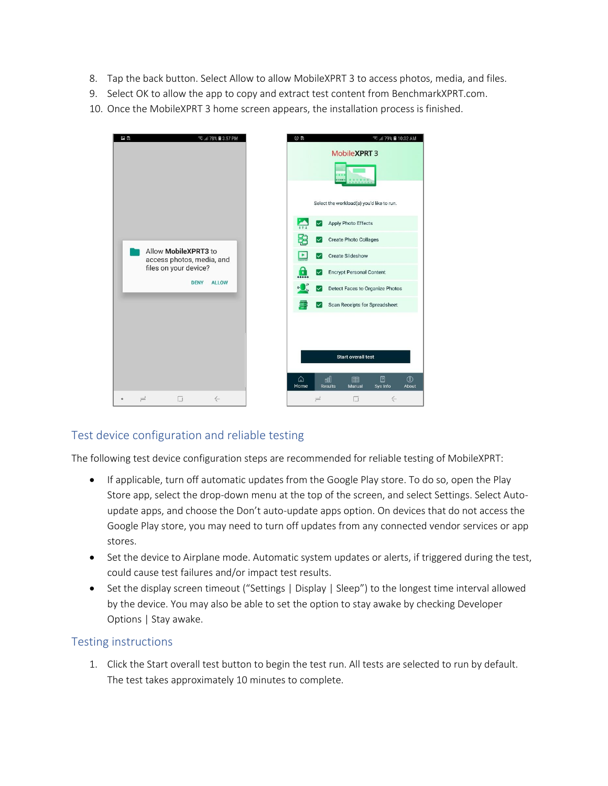- 8. Tap the back button. Select Allow to allow MobileXPRT 3 to access photos, media, and files.
- 9. Select OK to allow the app to copy and extract test content from BenchmarkXPRT.com.
- 10. Once the MobileXPRT 3 home screen appears, the installation process is finished.

| 四段      | <b>R</b> 1 78% <b>a</b> 3:57 PM                                            | $\odot$ R    |                      | <b>Revul 79% ■ 10:02 AM</b>                                                 |                     |
|---------|----------------------------------------------------------------------------|--------------|----------------------|-----------------------------------------------------------------------------|---------------------|
|         |                                                                            |              |                      | Mobile XPRT 3<br>8981                                                       |                     |
|         |                                                                            |              |                      | Select the workload(s) you'd like to run.                                   |                     |
|         |                                                                            |              | Ø                    | <b>Apply Photo Effects</b>                                                  |                     |
|         | Allow MobileXPRT3 to<br>access photos, media, and<br>files on your device? | æ            | ∨                    | <b>Create Photo Collages</b>                                                |                     |
|         |                                                                            | $\mathbf{P}$ | $\checkmark$         | Create Slideshow                                                            |                     |
|         |                                                                            | $\mathbf{a}$ | ⋉                    | <b>Encrypt Personal Content</b>                                             |                     |
|         | <b>ALLOW</b><br><b>DENY</b>                                                | $\circ$      | ∣✓∣                  | Detect Faces to Organize Photos                                             |                     |
|         |                                                                            |              | ø                    | Scan Receipts for Spreadsheet                                               |                     |
|         |                                                                            | ⋒<br>Home    |                      | Start overall test<br>团<br>aal<br>圍<br><b>Results</b><br>Sys Info<br>Manual | $^{\circ}$<br>About |
| $\circ$ | O<br>$\rightleftharpoons$<br>$\leftarrow$                                  |              | $\rightleftharpoons$ | $\leftarrow$<br>σ                                                           |                     |

## Test device configuration and reliable testing

The following test device configuration steps are recommended for reliable testing of MobileXPRT:

- If applicable, turn off automatic updates from the Google Play store. To do so, open the Play Store app, select the drop-down menu at the top of the screen, and select Settings. Select Autoupdate apps, and choose the Don't auto-update apps option. On devices that do not access the Google Play store, you may need to turn off updates from any connected vendor services or app stores.
- Set the device to Airplane mode. Automatic system updates or alerts, if triggered during the test, could cause test failures and/or impact test results.
- Set the display screen timeout ("Settings | Display | Sleep") to the longest time interval allowed by the device. You may also be able to set the option to stay awake by checking Developer Options | Stay awake.

## Testing instructions

1. Click the Start overall test button to begin the test run. All tests are selected to run by default. The test takes approximately 10 minutes to complete.